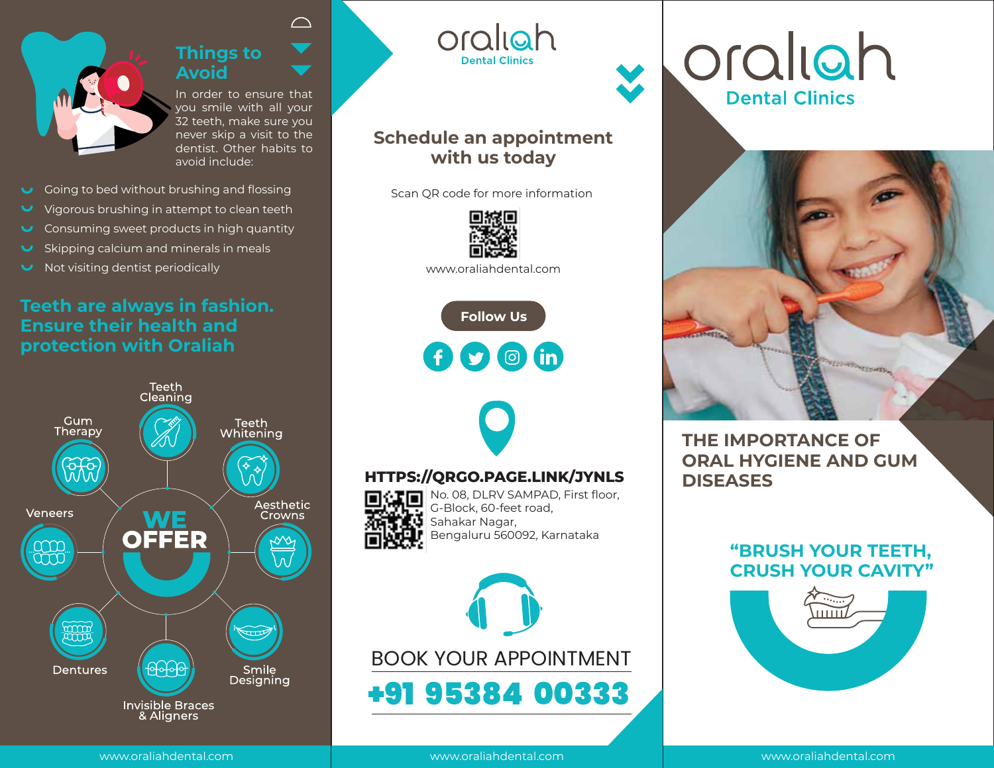

# **Things to Avoid**

In order to ensure that you smile with all your 32 teeth, make sure you never skip a visit to the dentist. Other habits to avoid include:

 $\curvearrowright$ 

- Going to bed without brushing and flossing
- V Vigorous brushing in attempt to clean teeth
- Consuming sweet products in high quantity
- Skipping calcium and minerals in meals
- Not visiting dentist periodically

# **Teeth are always in fashion. Ensure their health and protection with Oraliah**



oraliah **Dental Clinics** 

# **Schedule an appointment with us today**

Scan QR code for more information



www.oraliahdental.com

**Follow Us**  O O G in



# **HTTPS://QRGO.PAGE.LINK/JYNLS**

No. 08, DLRV SAMPAD, First floor, G-Block, 60-feet road,  $\left[\mathbf{U}\right]$  Sahakar Nagar, Bengaluru 560092, Karnataka



oraliah **Dental Clinics** 



**THE IMPORTANCE OF ORAL HYGIENE AND GUM DISEASES**

# **"BRUSH YOUR TEETH, CRUSH YOUR CAVITY"**



www.oraliahdental.com

www.oraliahdental.com

www.oraliahdental.com